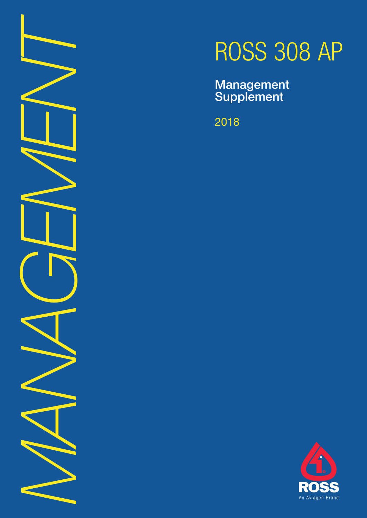*MANAGEMENT*

# ROSS 308 AP

Management **Supplement** 

2018

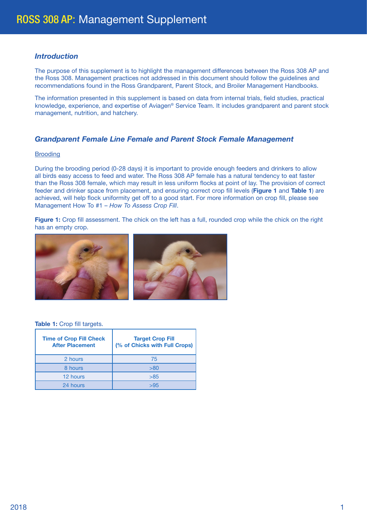# *Introduction*

The purpose of this supplement is to highlight the management differences between the Ross 308 AP and the Ross 308. Management practices not addressed in this document should follow the guidelines and recommendations found in the Ross Grandparent, Parent Stock, and Broiler Management Handbooks.

The information presented in this supplement is based on data from internal trials, field studies, practical knowledge, experience, and expertise of Aviagen® Service Team. It includes grandparent and parent stock management, nutrition, and hatchery.

# *Grandparent Female Line Female and Parent Stock Female Management*

#### **Brooding**

During the brooding period (0-28 days) it is important to provide enough feeders and drinkers to allow all birds easy access to feed and water. The Ross 308 AP female has a natural tendency to eat faster than the Ross 308 female, which may result in less uniform flocks at point of lay. The provision of correct feeder and drinker space from placement, and ensuring correct crop fill levels (**Figure 1** and **Table 1**) are achieved, will help flock uniformity get off to a good start. For more information on crop fill, please see Management How To #1 – *How To Assess Crop Fill*.

**Figure 1:** Crop fill assessment. The chick on the left has a full, rounded crop while the chick on the right has an empty crop.



#### **Table 1:** Crop fill targets.

| <b>Time of Crop Fill Check</b><br><b>After Placement</b> | <b>Target Crop Fill</b><br>(% of Chicks with Full Crops) |
|----------------------------------------------------------|----------------------------------------------------------|
| 2 hours                                                  | 75                                                       |
| 8 hours                                                  | > 80                                                     |
| 12 hours                                                 | >85                                                      |
| 24 hours                                                 | >95                                                      |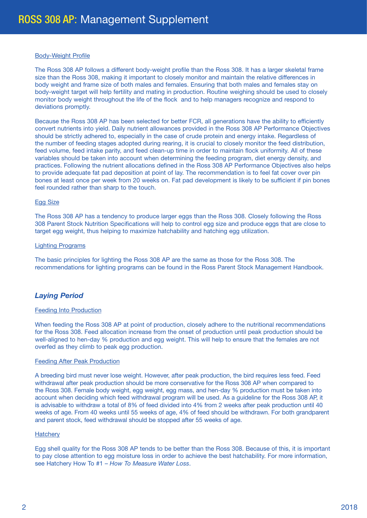#### Body-Weight Profile

The Ross 308 AP follows a different body-weight profile than the Ross 308. It has a larger skeletal frame size than the Ross 308, making it important to closely monitor and maintain the relative differences in body weight and frame size of both males and females. Ensuring that both males and females stay on body-weight target will help fertility and mating in production. Routine weighing should be used to closely monitor body weight throughout the life of the flock and to help managers recognize and respond to deviations promptly.

Because the Ross 308 AP has been selected for better FCR, all generations have the ability to efficiently convert nutrients into yield. Daily nutrient allowances provided in the Ross 308 AP Performance Objectives should be strictly adhered to, especially in the case of crude protein and energy intake. Regardless of the number of feeding stages adopted during rearing, it is crucial to closely monitor the feed distribution, feed volume, feed intake parity, and feed clean-up time in order to maintain flock uniformity. All of these variables should be taken into account when determining the feeding program, diet energy density, and practices. Following the nutrient allocations defined in the Ross 308 AP Performance Objectives also helps to provide adequate fat pad deposition at point of lay. The recommendation is to feel fat cover over pin bones at least once per week from 20 weeks on. Fat pad development is likely to be sufficient if pin bones feel rounded rather than sharp to the touch.

#### Egg Size

The Ross 308 AP has a tendency to produce larger eggs than the Ross 308. Closely following the Ross 308 Parent Stock Nutrition Specifications will help to control egg size and produce eggs that are close to target egg weight, thus helping to maximize hatchability and hatching egg utilization.

#### Lighting Programs

The basic principles for lighting the Ross 308 AP are the same as those for the Ross 308. The recommendations for lighting programs can be found in the Ross Parent Stock Management Handbook.

## *Laying Period*

#### Feeding Into Production

When feeding the Ross 308 AP at point of production, closely adhere to the nutritional recommendations for the Ross 308. Feed allocation increase from the onset of production until peak production should be well-aligned to hen-day % production and egg weight. This will help to ensure that the females are not overfed as they climb to peak egg production.

#### Feeding After Peak Production

A breeding bird must never lose weight. However, after peak production, the bird requires less feed. Feed withdrawal after peak production should be more conservative for the Ross 308 AP when compared to the Ross 308. Female body weight, egg weight, egg mass, and hen-day % production must be taken into account when deciding which feed withdrawal program will be used. As a guideline for the Ross 308 AP, it is advisable to withdraw a total of 8% of feed divided into 4% from 2 weeks after peak production until 40 weeks of age. From 40 weeks until 55 weeks of age, 4% of feed should be withdrawn. For both grandparent and parent stock, feed withdrawal should be stopped after 55 weeks of age.

#### **Hatchery**

Egg shell quality for the Ross 308 AP tends to be better than the Ross 308. Because of this, it is important to pay close attention to egg moisture loss in order to achieve the best hatchability. For more information, see Hatchery How To #1 – *How To Measure Water Loss*.